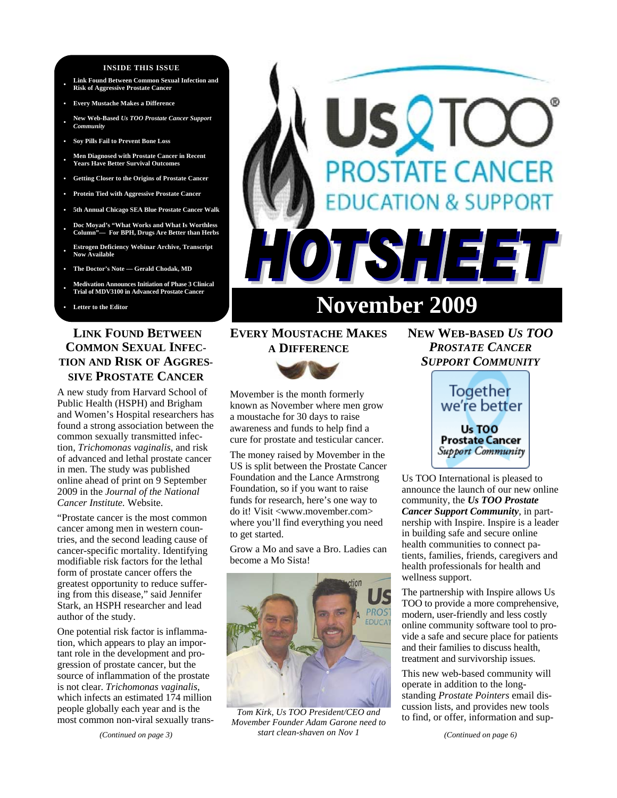#### **INSIDE THIS ISSUE**

- **Link Found Between Common Sexual Infection and Risk of Aggressive Prostate Cancer**
- **Every Mustache Makes a Difference**
- **New Web-Based** *Us TOO Prostate Cancer Support Community*
- **Soy Pills Fail to Prevent Bone Loss**
- **Men Diagnosed with Prostate Cancer in Recent Years Have Better Survival Outcomes**
- **Getting Closer to the Origins of Prostate Cancer**
- **Protein Tied with Aggressive Prostate Cancer**
- **5th Annual Chicago SEA Blue Prostate Cancer Walk**
- **Doc Moyad's "What Works and What Is Worthless Column"— For BPH, Drugs Are Better than Herbs**
- **Estrogen Deficiency Webinar Archive, Transcript Now Available**
- **The Doctor's Note Gerald Chodak, MD**
- **Medivation Announces Initiation of Phase 3 Clinical Trial of MDV3100 in Advanced Prostate Cancer**
- 

# **LINK FOUND BETWEEN COMMON SEXUAL INFEC-TION AND RISK OF AGGRES-SIVE PROSTATE CANCER**

A new study from Harvard School of Public Health (HSPH) and Brigham and Women's Hospital researchers has found a strong association between the common sexually transmitted infection, *Trichomonas vaginalis*, and risk of advanced and lethal prostate cancer in men. The study was published online ahead of print on 9 September 2009 in the *Journal of the National Cancer Institute.* Website.

"Prostate cancer is the most common cancer among men in western countries, and the second leading cause of cancer-specific mortality. Identifying modifiable risk factors for the lethal form of prostate cancer offers the greatest opportunity to reduce suffering from this disease," said Jennifer Stark, an HSPH researcher and lead author of the study.

One potential risk factor is inflammation, which appears to play an important role in the development and progression of prostate cancer, but the source of inflammation of the prostate is not clear. *Trichomonas vaginalis*, which infects an estimated 174 million people globally each year and is the most common non-viral sexually trans-



# SQIC **ROSTATE CANCER ION & SUPPORT TISHEET** Letter to the Editor **Letter of the Editor**

# **EVERY MOUSTACHE MAKES**

**A DIFFERENCE** 

Movember is the month formerly known as November where men grow a moustache for 30 days to raise awareness and funds to help find a cure for prostate and testicular cancer.

The money raised by Movember in the US is split between the Prostate Cancer Foundation and the Lance Armstrong Foundation, so if you want to raise funds for research, here's one way to do it! Visit <www.movember.com> where you'll find everything you need to get started.

Grow a Mo and save a Bro. Ladies can become a Mo Sista!



*Tom Kirk, Us TOO President/CEO and Movember Founder Adam Garone need to start clean-shaven on Nov 1* 

# **NEW WEB-BASED** *US TOO PROSTATE CANCER SUPPORT COMMUNITY*



Us TOO International is pleased to announce the launch of our new online community, the *Us TOO Prostate Cancer Support Community*, in partnership with Inspire. Inspire is a leader in building safe and secure online health communities to connect patients, families, friends, caregivers and health professionals for health and wellness support.

The partnership with Inspire allows Us TOO to provide a more comprehensive, modern, user-friendly and less costly online community software tool to provide a safe and secure place for patients and their families to discuss health, treatment and survivorship issues.

This new web-based community will operate in addition to the longstanding *Prostate Pointers* email discussion lists, and provides new tools to find, or offer, information and sup-

*(Continued on page 6)*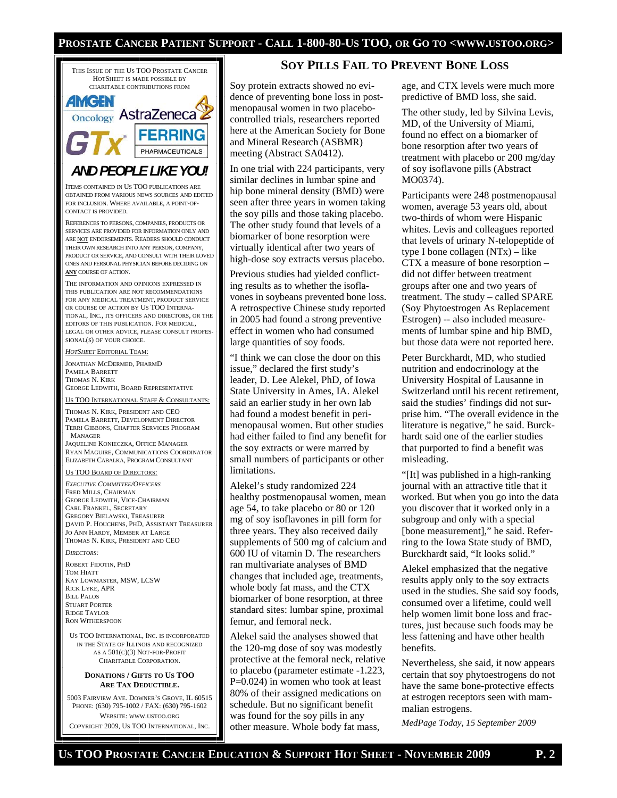## **PROSTATE CANCER PATIENT SUPPORT - CALL 1-800-80-US TOO, OR GO TO <WWW.USTOO.ORG>**



COPYRIGHT 2009, US TOO INTERNATIONAL, INC.

#### **SOY PILLS FAIL TO PREVENT BONE LOSS**

Soy protein extracts showed no evidence of preventing bone loss in postmenopausal women in two placebocontrolled trials, researchers reported here at the American Society for Bone and Mineral Research (ASBMR) meeting (Abstract SA0412).

In one trial with 224 participants, very similar declines in lumbar spine and hip bone mineral density (BMD) were seen after three years in women taking the soy pills and those taking placebo. The other study found that levels of a biomarker of bone resorption were virtually identical after two years of high-dose soy extracts versus placebo.

Previous studies had yielded conflicting results as to whether the isoflavones in soybeans prevented bone loss. A retrospective Chinese study reported in 2005 had found a strong preventive effect in women who had consumed large quantities of soy foods.

"I think we can close the door on this issue," declared the first study's leader, D. Lee Alekel, PhD, of Iowa State University in Ames, IA. Alekel said an earlier study in her own lab had found a modest benefit in perimenopausal women. But other studies had either failed to find any benefit for the soy extracts or were marred by small numbers of participants or other limitations.

Alekel's study randomized 224 healthy postmenopausal women, mean age 54, to take placebo or 80 or 120 mg of soy isoflavones in pill form for three years. They also received daily supplements of 500 mg of calcium and 600 IU of vitamin D. The researchers ran multivariate analyses of BMD changes that included age, treatments, whole body fat mass, and the CTX biomarker of bone resorption, at three standard sites: lumbar spine, proximal femur, and femoral neck.

Alekel said the analyses showed that the 120-mg dose of soy was modestly protective at the femoral neck, relative to placebo (parameter estimate -1.223, P=0.024) in women who took at least 80% of their assigned medications on schedule. But no significant benefit was found for the soy pills in any other measure. Whole body fat mass,

age, and CTX levels were much more predictive of BMD loss, she said.

The other study, led by Silvina Levis, MD, of the University of Miami, found no effect on a biomarker of bone resorption after two years of treatment with placebo or 200 mg/day of soy isoflavone pills (Abstract MO0374).

Participants were 248 postmenopausal women, average 53 years old, about two-thirds of whom were Hispanic whites. Levis and colleagues reported that levels of urinary N-telopeptide of type I bone collagen (NTx) – like CTX a measure of bone resorption – did not differ between treatment groups after one and two years of treatment. The study – called SPARE (Soy Phytoestrogen As Replacement Estrogen) -- also included measurements of lumbar spine and hip BMD, but those data were not reported here.

Peter Burckhardt, MD, who studied nutrition and endocrinology at the University Hospital of Lausanne in Switzerland until his recent retirement, said the studies' findings did not surprise him. "The overall evidence in the literature is negative," he said. Burckhardt said one of the earlier studies that purported to find a benefit was misleading.

"[It] was published in a high-ranking journal with an attractive title that it worked. But when you go into the data you discover that it worked only in a subgroup and only with a special [bone measurement]," he said. Referring to the Iowa State study of BMD, Burckhardt said, "It looks solid."

Alekel emphasized that the negative results apply only to the soy extracts used in the studies. She said soy foods, consumed over a lifetime, could well help women limit bone loss and fractures, just because such foods may be less fattening and have other health benefits.

Nevertheless, she said, it now appears certain that soy phytoestrogens do not have the same bone-protective effects at estrogen receptors seen with mammalian estrogens.

*MedPage Today, 15 September 2009*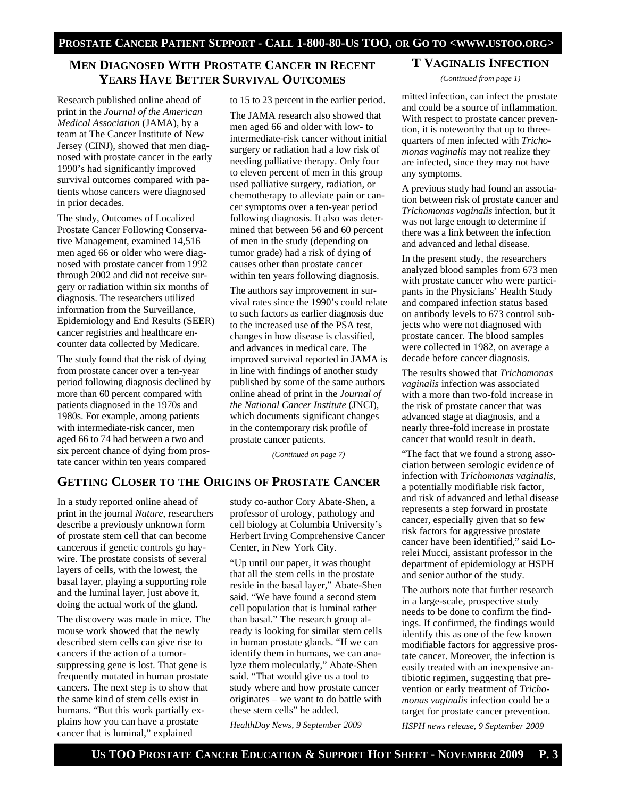# **MEN DIAGNOSED WITH PROSTATE CANCER IN RECENT YEARS HAVE BETTER SURVIVAL OUTCOMES**

Research published online ahead of print in the *Journal of the American Medical Association* (JAMA), by a team at The Cancer Institute of New Jersey (CINJ), showed that men diagnosed with prostate cancer in the early 1990's had significantly improved survival outcomes compared with patients whose cancers were diagnosed in prior decades.

The study, Outcomes of Localized Prostate Cancer Following Conservative Management, examined 14,516 men aged 66 or older who were diagnosed with prostate cancer from 1992 through 2002 and did not receive surgery or radiation within six months of diagnosis. The researchers utilized information from the Surveillance, Epidemiology and End Results (SEER) cancer registries and healthcare encounter data collected by Medicare.

The study found that the risk of dying from prostate cancer over a ten-year period following diagnosis declined by more than 60 percent compared with patients diagnosed in the 1970s and 1980s. For example, among patients with intermediate-risk cancer, men aged 66 to 74 had between a two and six percent chance of dying from prostate cancer within ten years compared

to 15 to 23 percent in the earlier period.

The JAMA research also showed that men aged 66 and older with low- to intermediate-risk cancer without initial surgery or radiation had a low risk of needing palliative therapy. Only four to eleven percent of men in this group used palliative surgery, radiation, or chemotherapy to alleviate pain or cancer symptoms over a ten-year period following diagnosis. It also was determined that between 56 and 60 percent of men in the study (depending on tumor grade) had a risk of dying of causes other than prostate cancer within ten years following diagnosis.

The authors say improvement in survival rates since the 1990's could relate to such factors as earlier diagnosis due to the increased use of the PSA test, changes in how disease is classified, and advances in medical care. The improved survival reported in JAMA is in line with findings of another study published by some of the same authors online ahead of print in the *Journal of the National Cancer Institute* (JNCI), which documents significant changes in the contemporary risk profile of prostate cancer patients.

*(Continued on page 7)* 

# **GETTING CLOSER TO THE ORIGINS OF PROSTATE CANCER**

In a study reported online ahead of print in the journal *Nature*, researchers describe a previously unknown form of prostate stem cell that can become cancerous if genetic controls go haywire. The prostate consists of several layers of cells, with the lowest, the basal layer, playing a supporting role and the luminal layer, just above it, doing the actual work of the gland.

The discovery was made in mice. The mouse work showed that the newly described stem cells can give rise to cancers if the action of a tumorsuppressing gene is lost. That gene is frequently mutated in human prostate cancers. The next step is to show that the same kind of stem cells exist in humans. "But this work partially explains how you can have a prostate cancer that is luminal," explained

study co-author Cory Abate-Shen, a professor of urology, pathology and cell biology at Columbia University's Herbert Irving Comprehensive Cancer Center, in New York City.

"Up until our paper, it was thought that all the stem cells in the prostate reside in the basal layer," Abate-Shen said. "We have found a second stem cell population that is luminal rather than basal." The research group already is looking for similar stem cells in human prostate glands. "If we can identify them in humans, we can analyze them molecularly," Abate-Shen said. "That would give us a tool to study where and how prostate cancer originates – we want to do battle with these stem cells" he added.

*HealthDay News, 9 September 2009* 

# **T VAGINALIS INFECTION**

*(Continued from page 1)* 

mitted infection, can infect the prostate and could be a source of inflammation. With respect to prostate cancer prevention, it is noteworthy that up to threequarters of men infected with *Trichomonas vaginalis* may not realize they are infected, since they may not have any symptoms.

A previous study had found an association between risk of prostate cancer and *Trichomonas vaginalis* infection, but it was not large enough to determine if there was a link between the infection and advanced and lethal disease.

In the present study, the researchers analyzed blood samples from 673 men with prostate cancer who were participants in the Physicians' Health Study and compared infection status based on antibody levels to 673 control subjects who were not diagnosed with prostate cancer. The blood samples were collected in 1982, on average a decade before cancer diagnosis.

The results showed that *Trichomonas vaginalis* infection was associated with a more than two-fold increase in the risk of prostate cancer that was advanced stage at diagnosis, and a nearly three-fold increase in prostate cancer that would result in death.

"The fact that we found a strong association between serologic evidence of infection with *Trichomonas vaginalis*, a potentially modifiable risk factor, and risk of advanced and lethal disease represents a step forward in prostate cancer, especially given that so few risk factors for aggressive prostate cancer have been identified," said Lorelei Mucci, assistant professor in the department of epidemiology at HSPH and senior author of the study.

The authors note that further research in a large-scale, prospective study needs to be done to confirm the findings. If confirmed, the findings would identify this as one of the few known modifiable factors for aggressive prostate cancer. Moreover, the infection is easily treated with an inexpensive antibiotic regimen, suggesting that prevention or early treatment of *Trichomonas vaginalis* infection could be a target for prostate cancer prevention. *HSPH news release, 9 September 2009*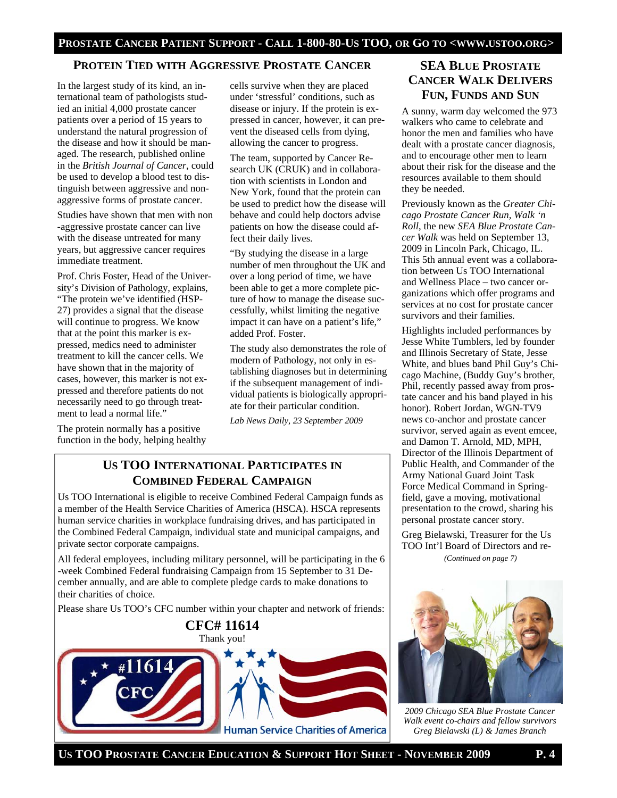# **PROTEIN TIED WITH AGGRESSIVE PROSTATE CANCER SEA BLUE PROSTATE**

In the largest study of its kind, an international team of pathologists studied an initial 4,000 prostate cancer patients over a period of 15 years to understand the natural progression of the disease and how it should be managed. The research, published online in the *British Journal of Cancer*, could be used to develop a blood test to distinguish between aggressive and nonaggressive forms of prostate cancer.

Studies have shown that men with non -aggressive prostate cancer can live with the disease untreated for many years, but aggressive cancer requires immediate treatment.

Prof. Chris Foster, Head of the University's Division of Pathology, explains, "The protein we've identified (HSP-27) provides a signal that the disease will continue to progress. We know that at the point this marker is expressed, medics need to administer treatment to kill the cancer cells. We have shown that in the majority of cases, however, this marker is not expressed and therefore patients do not necessarily need to go through treatment to lead a normal life."

The protein normally has a positive function in the body, helping healthy cells survive when they are placed under 'stressful' conditions, such as disease or injury. If the protein is expressed in cancer, however, it can prevent the diseased cells from dying, allowing the cancer to progress.

The team, supported by Cancer Research UK (CRUK) and in collaboration with scientists in London and New York, found that the protein can be used to predict how the disease will behave and could help doctors advise patients on how the disease could affect their daily lives.

"By studying the disease in a large number of men throughout the UK and over a long period of time, we have been able to get a more complete picture of how to manage the disease successfully, whilst limiting the negative impact it can have on a patient's life," added Prof. Foster.

The study also demonstrates the role of modern of Pathology, not only in establishing diagnoses but in determining if the subsequent management of individual patients is biologically appropriate for their particular condition.

*Lab News Daily, 23 September 2009* 

# **US TOO INTERNATIONAL PARTICIPATES IN COMBINED FEDERAL CAMPAIGN**

Us TOO International is eligible to receive Combined Federal Campaign funds as a member of the Health Service Charities of America (HSCA). HSCA represents human service charities in workplace fundraising drives, and has participated in the Combined Federal Campaign, individual state and municipal campaigns, and private sector corporate campaigns.

All federal employees, including military personnel, will be participating in the 6 -week Combined Federal fundraising Campaign from 15 September to 31 December annually, and are able to complete pledge cards to make donations to their charities of choice.

Please share Us TOO's CFC number within your chapter and network of friends:



# **CANCER WALK DELIVERS FUN, FUNDS AND SUN**

A sunny, warm day welcomed the 973 walkers who came to celebrate and honor the men and families who have dealt with a prostate cancer diagnosis, and to encourage other men to learn about their risk for the disease and the resources available to them should they be needed.

Previously known as the *Greater Chicago Prostate Cancer Run, Walk 'n Roll*, the new *SEA Blue Prostate Cancer Walk* was held on September 13, 2009 in Lincoln Park, Chicago, IL. This 5th annual event was a collaboration between Us TOO International and Wellness Place – two cancer organizations which offer programs and services at no cost for prostate cancer survivors and their families.

Highlights included performances by Jesse White Tumblers, led by founder and Illinois Secretary of State, Jesse White, and blues band Phil Guy's Chicago Machine, (Buddy Guy's brother, Phil, recently passed away from prostate cancer and his band played in his honor). Robert Jordan, WGN-TV9 news co-anchor and prostate cancer survivor, served again as event emcee, and Damon T. Arnold, MD, MPH, Director of the Illinois Department of Public Health, and Commander of the Army National Guard Joint Task Force Medical Command in Springfield, gave a moving, motivational presentation to the crowd, sharing his personal prostate cancer story.

Greg Bielawski, Treasurer for the Us TOO Int'l Board of Directors and re- *(Continued on page 7)* 



*2009 Chicago SEA Blue Prostate Cancer Walk event co-chairs and fellow survivors Greg Bielawski (L) & James Branch*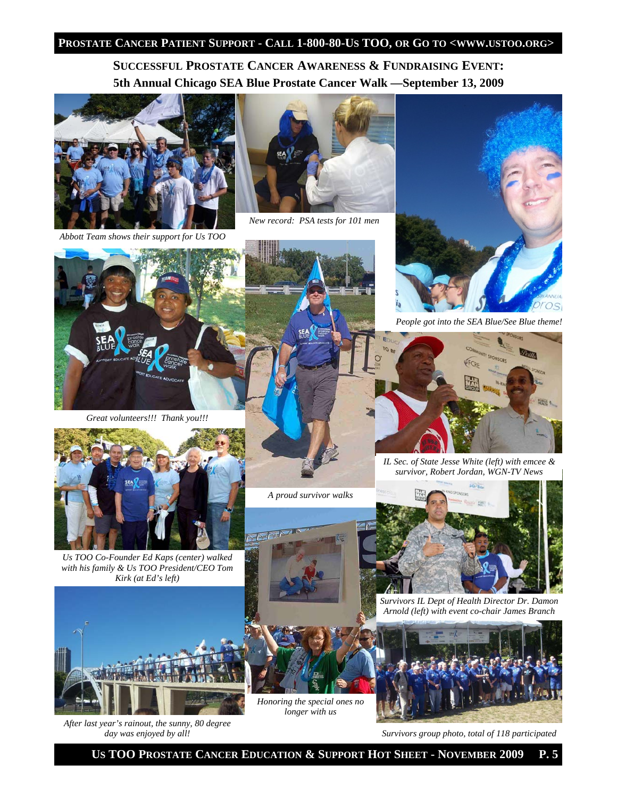## **PROSTATE CANCER PATIENT SUPPORT - CALL 1-800-80-US TOO, OR GO TO <WWW.USTOO.ORG>**

**SUCCESSFUL PROSTATE CANCER AWARENESS & FUNDRAISING EVENT: 5th Annual Chicago SEA Blue Prostate Cancer Walk —September 13, 2009** 



*Abbott Team shows their support for Us TOO* 



*New record: PSA tests for 101 men* 



*People got into the SEA Blue/See Blue theme!* 



*Great volunteers!!! Thank you!!!* 



*Us TOO Co-Founder Ed Kaps (center) walked with his family & Us TOO President/CEO Tom Kirk (at Ed's left)* 



*After last year's rainout, the sunny, 80 degree day was enjoyed by all!* 

*A proud survivor walks* 



*IL Sec. of State Jesse White (left) with emcee & survivor, Robert Jordan, WGN-TV News* 





*longer with us* 



*Survivors IL Dept of Health Director Dr. Damon Arnold (left) with event co-chair James Branch* 



*Survivors group photo, total of 118 participated* 

 **US TOO PROSTATE CANCER EDUCATION & SUPPORT HOT SHEET - NOVEMBER 2009 P. 5**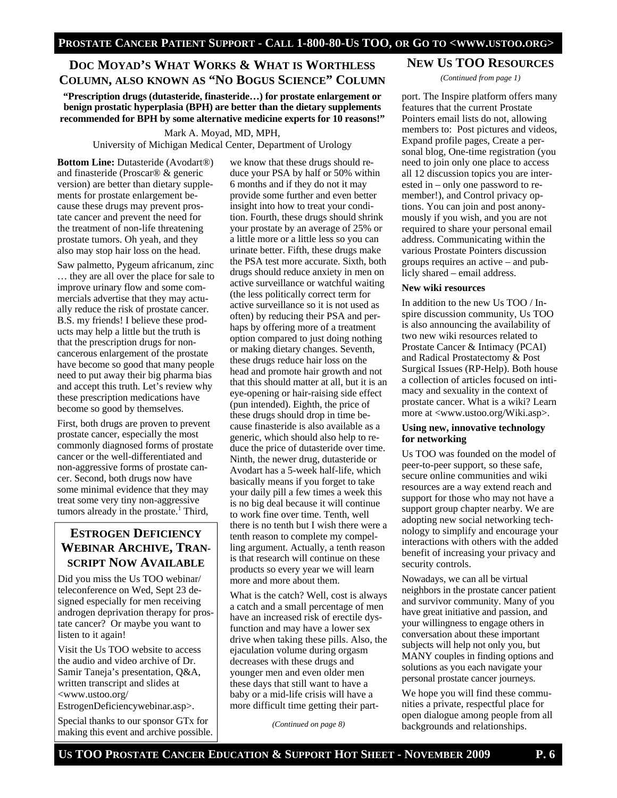# **DOC MOYAD'S WHAT WORKS & WHAT IS WORTHLESS COLUMN, ALSO KNOWN AS "NO BOGUS SCIENCE" COLUMN**

**"Prescription drugs (dutasteride, finasteride…) for prostate enlargement or benign prostatic hyperplasia (BPH) are better than the dietary supplements recommended for BPH by some alternative medicine experts for 10 reasons!"** 

Mark A. Moyad, MD, MPH, University of Michigan Medical Center, Department of Urology

**Bottom Line:** Dutasteride (Avodart®) and finasteride (Proscar® & generic version) are better than dietary supplements for prostate enlargement because these drugs may prevent prostate cancer and prevent the need for the treatment of non-life threatening prostate tumors. Oh yeah, and they also may stop hair loss on the head.

Saw palmetto, Pygeum africanum, zinc … they are all over the place for sale to improve urinary flow and some commercials advertise that they may actually reduce the risk of prostate cancer. B.S. my friends! I believe these products may help a little but the truth is that the prescription drugs for noncancerous enlargement of the prostate have become so good that many people need to put away their big pharma bias and accept this truth. Let's review why these prescription medications have become so good by themselves.

First, both drugs are proven to prevent prostate cancer, especially the most commonly diagnosed forms of prostate cancer or the well-differentiated and non-aggressive forms of prostate cancer. Second, both drugs now have some minimal evidence that they may treat some very tiny non-aggressive tumors already in the prostate.<sup>1</sup> Third,

# **ESTROGEN DEFICIENCY WEBINAR ARCHIVE, TRAN-SCRIPT NOW AVAILABLE**

Did you miss the Us TOO webinar/ teleconference on Wed, Sept 23 designed especially for men receiving androgen deprivation therapy for prostate cancer? Or maybe you want to listen to it again!

Visit the Us TOO website to access the audio and video archive of Dr. Samir Taneja's presentation, Q&A, written transcript and slides at <www.ustoo.org/

EstrogenDeficiencywebinar.asp>.

Special thanks to our sponsor GTx for making this event and archive possible. we know that these drugs should reduce your PSA by half or 50% within 6 months and if they do not it may provide some further and even better insight into how to treat your condition. Fourth, these drugs should shrink your prostate by an average of 25% or a little more or a little less so you can urinate better. Fifth, these drugs make the PSA test more accurate. Sixth, both drugs should reduce anxiety in men on active surveillance or watchful waiting (the less politically correct term for active surveillance so it is not used as often) by reducing their PSA and perhaps by offering more of a treatment option compared to just doing nothing or making dietary changes. Seventh, these drugs reduce hair loss on the head and promote hair growth and not that this should matter at all, but it is an eye-opening or hair-raising side effect (pun intended). Eighth, the price of these drugs should drop in time because finasteride is also available as a generic, which should also help to reduce the price of dutasteride over time. Ninth, the newer drug, dutasteride or Avodart has a 5-week half-life, which basically means if you forget to take your daily pill a few times a week this is no big deal because it will continue to work fine over time. Tenth, well there is no tenth but I wish there were a tenth reason to complete my compelling argument. Actually, a tenth reason is that research will continue on these products so every year we will learn more and more about them.

What is the catch? Well, cost is always a catch and a small percentage of men have an increased risk of erectile dysfunction and may have a lower sex drive when taking these pills. Also, the ejaculation volume during orgasm decreases with these drugs and younger men and even older men these days that still want to have a baby or a mid-life crisis will have a more difficult time getting their part-

*(Continued on page 8)* 

# **NEW US TOO RESOURCES**

*(Continued from page 1)* 

port. The Inspire platform offers many features that the current Prostate Pointers email lists do not, allowing members to: Post pictures and videos, Expand profile pages, Create a personal blog, One-time registration (you need to join only one place to access all 12 discussion topics you are interested in – only one password to remember!), and Control privacy options. You can join and post anonymously if you wish, and you are not required to share your personal email address. Communicating within the various Prostate Pointers discussion groups requires an active – and publicly shared – email address.

#### **New wiki resources**

In addition to the new Us TOO / Inspire discussion community, Us TOO is also announcing the availability of two new wiki resources related to Prostate Cancer & Intimacy (PCAI) and Radical Prostatectomy & Post Surgical Issues (RP-Help). Both house a collection of articles focused on intimacy and sexuality in the context of prostate cancer. What is a wiki? Learn more at <www.ustoo.org/Wiki.asp>.

#### **Using new, innovative technology for networking**

Us TOO was founded on the model of peer-to-peer support, so these safe, secure online communities and wiki resources are a way extend reach and support for those who may not have a support group chapter nearby. We are adopting new social networking technology to simplify and encourage your interactions with others with the added benefit of increasing your privacy and security controls.

Nowadays, we can all be virtual neighbors in the prostate cancer patient and survivor community. Many of you have great initiative and passion, and your willingness to engage others in conversation about these important subjects will help not only you, but MANY couples in finding options and solutions as you each navigate your personal prostate cancer journeys.

We hope you will find these communities a private, respectful place for open dialogue among people from all backgrounds and relationships.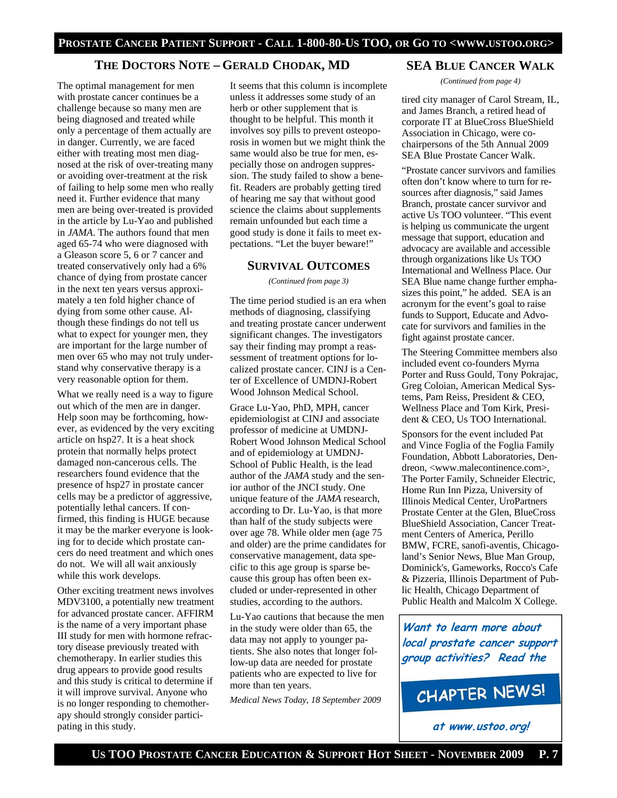# **THE DOCTORS NOTE – GERALD CHODAK, MD**

The optimal management for men with prostate cancer continues be a challenge because so many men are being diagnosed and treated while only a percentage of them actually are in danger. Currently, we are faced either with treating most men diagnosed at the risk of over-treating many or avoiding over-treatment at the risk of failing to help some men who really need it. Further evidence that many men are being over-treated is provided in the article by Lu-Yao and published in *JAMA*. The authors found that men aged 65-74 who were diagnosed with a Gleason score 5, 6 or 7 cancer and treated conservatively only had a 6% chance of dying from prostate cancer in the next ten years versus approximately a ten fold higher chance of dying from some other cause. Although these findings do not tell us what to expect for younger men, they are important for the large number of men over 65 who may not truly understand why conservative therapy is a very reasonable option for them.

What we really need is a way to figure out which of the men are in danger. Help soon may be forthcoming, however, as evidenced by the very exciting article on hsp27. It is a heat shock protein that normally helps protect damaged non-cancerous cells. The researchers found evidence that the presence of hsp27 in prostate cancer cells may be a predictor of aggressive, potentially lethal cancers. If confirmed, this finding is HUGE because it may be the marker everyone is looking for to decide which prostate cancers do need treatment and which ones do not. We will all wait anxiously while this work develops.

Other exciting treatment news involves MDV3100, a potentially new treatment for advanced prostate cancer. AFFIRM is the name of a very important phase III study for men with hormone refractory disease previously treated with chemotherapy. In earlier studies this drug appears to provide good results and this study is critical to determine if it will improve survival. Anyone who is no longer responding to chemotherapy should strongly consider participating in this study.

It seems that this column is incomplete unless it addresses some study of an herb or other supplement that is thought to be helpful. This month it involves soy pills to prevent osteoporosis in women but we might think the same would also be true for men, especially those on androgen suppression. The study failed to show a benefit. Readers are probably getting tired of hearing me say that without good science the claims about supplements remain unfounded but each time a good study is done it fails to meet expectations. "Let the buyer beware!"

#### **SURVIVAL OUTCOMES**

*(Continued from page 3)* 

The time period studied is an era when methods of diagnosing, classifying and treating prostate cancer underwent significant changes. The investigators say their finding may prompt a reassessment of treatment options for localized prostate cancer. CINJ is a Center of Excellence of UMDNJ-Robert Wood Johnson Medical School.

Grace Lu-Yao, PhD, MPH, cancer epidemiologist at CINJ and associate professor of medicine at UMDNJ-Robert Wood Johnson Medical School and of epidemiology at UMDNJ-School of Public Health, is the lead author of the *JAMA* study and the senior author of the JNCI study. One unique feature of the *JAMA* research, according to Dr. Lu-Yao, is that more than half of the study subjects were over age 78. While older men (age 75 and older) are the prime candidates for conservative management, data specific to this age group is sparse because this group has often been excluded or under-represented in other studies, according to the authors.

Lu-Yao cautions that because the men in the study were older than 65, the data may not apply to younger patients. She also notes that longer follow-up data are needed for prostate patients who are expected to live for more than ten years.

*Medical News Today, 18 September 2009* 

#### **SEA BLUE CANCER WALK**

*(Continued from page 4)* 

tired city manager of Carol Stream, IL, and James Branch, a retired head of corporate IT at BlueCross BlueShield Association in Chicago, were cochairpersons of the 5th Annual 2009 SEA Blue Prostate Cancer Walk.

"Prostate cancer survivors and families often don't know where to turn for resources after diagnosis," said James Branch, prostate cancer survivor and active Us TOO volunteer. "This event is helping us communicate the urgent message that support, education and advocacy are available and accessible through organizations like Us TOO International and Wellness Place. Our SEA Blue name change further emphasizes this point," he added. SEA is an acronym for the event's goal to raise funds to Support, Educate and Advocate for survivors and families in the fight against prostate cancer.

The Steering Committee members also included event co-founders Myrna Porter and Russ Gould, Tony Pokrajac, Greg Coloian, American Medical Systems, Pam Reiss, President & CEO, Wellness Place and Tom Kirk, President & CEO, Us TOO International.

Sponsors for the event included Pat and Vince Foglia of the Foglia Family Foundation, Abbott Laboratories, Dendreon, <www.malecontinence.com>, The Porter Family, Schneider Electric, Home Run Inn Pizza, University of Illinois Medical Center, UroPartners Prostate Center at the Glen, BlueCross BlueShield Association, Cancer Treatment Centers of America, Perillo BMW, FCRE, sanofi-aventis, Chicagoland's Senior News, Blue Man Group, Dominick's, Gameworks, Rocco's Cafe & Pizzeria, Illinois Department of Public Health, Chicago Department of Public Health and Malcolm X College.

**Want to learn more about local prostate cancer support group activities? Read the**